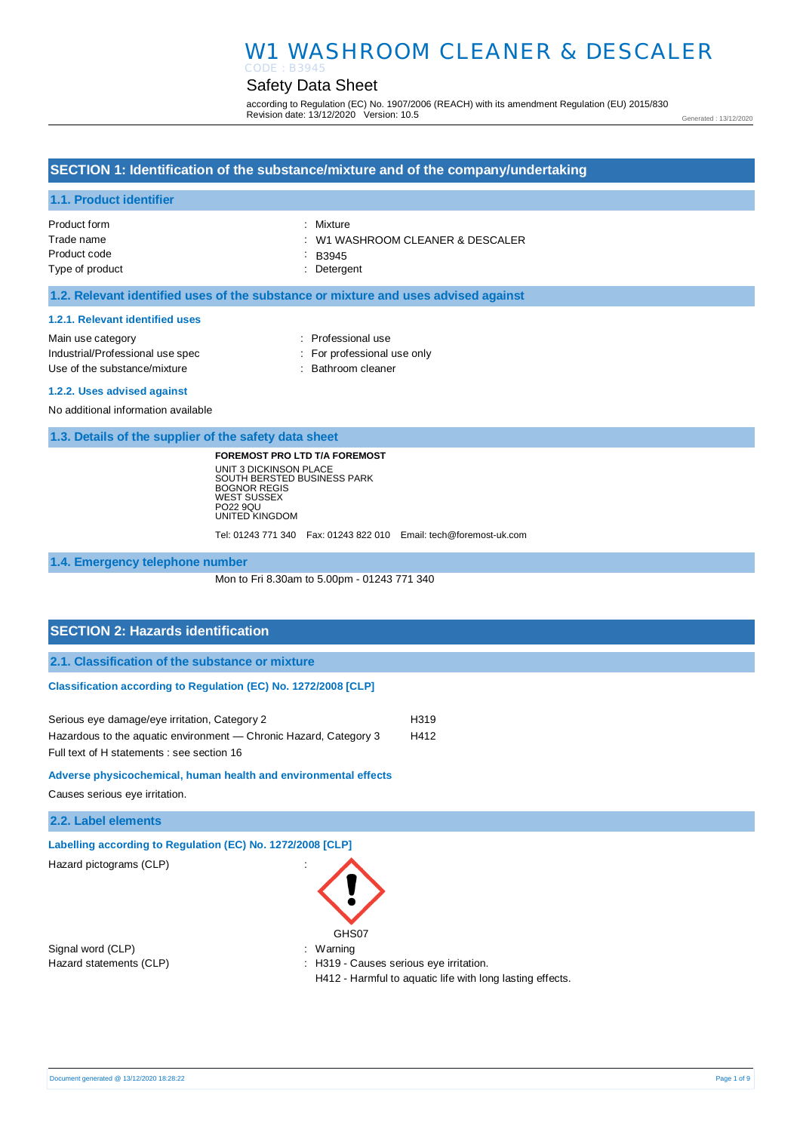# W1 WASHROOM CLEANER & DESCALER

#### Safety Data Sheet CODE : B3945

according to Regulation (EC) No. 1907/2006 (REACH) with its amendment Regulation (EU) 2015/830 Revision date: 13/12/2020 Version: 10.5

Generated : 13/12/2020

# **SECTION 1: Identification of the substance/mixture and of the company/undertaking**

#### **1.1. Product identifier**

| : Mixture                                   |
|---------------------------------------------|
| $\therefore$ W1 WASHROOM CLEANER & DESCALER |
| $\therefore$ B3945                          |
| : Detergent                                 |
|                                             |

### **1.2. Relevant identified uses of the substance or mixture and uses advised against**

#### **1.2.1. Relevant identified uses**

| Main use category                | : Professional use          |
|----------------------------------|-----------------------------|
| Industrial/Professional use spec | : For professional use only |
| Use of the substance/mixture     | : Bathroom cleaner          |

#### **1.2.2. Uses advised against**

No additional information available

**1.3. Details of the supplier of the safety data sheet**

**FOREMOST PRO LTD T/A FOREMOST** UNIT 3 DICKINSON PLACE SOUTH BERSTED BUSINESS PARK BOGNOR REGIS WEST SUSSEX PO22 9QU UNITED KINGDOM

Tel: 01243 771 340 Fax: 01243 822 010 Email: tech@foremost-uk.com

**1.4. Emergency telephone number**

Mon to Fri 8.30am to 5.00pm - 01243 771 340

# **SECTION 2: Hazards identification**

**2.1. Classification of the substance or mixture**

### **Classification according to Regulation (EC) No. 1272/2008 [CLP]**

| Serious eye damage/eye irritation, Category 2                     | H319 |
|-------------------------------------------------------------------|------|
| Hazardous to the aquatic environment — Chronic Hazard, Category 3 | H412 |
| Full text of H statements : see section 16                        |      |

### **Adverse physicochemical, human health and environmental effects**

Causes serious eye irritation.

# **2.2. Label elements**

**Labelling according to Regulation (EC) No. 1272/2008 [CLP]** 

Hazard pictograms (CLP) :

Signal word (CLP)  $\qquad \qquad$ : Warning



Hazard statements (CLP) : H319 - Causes serious eye irritation.

H412 - Harmful to aquatic life with long lasting effects.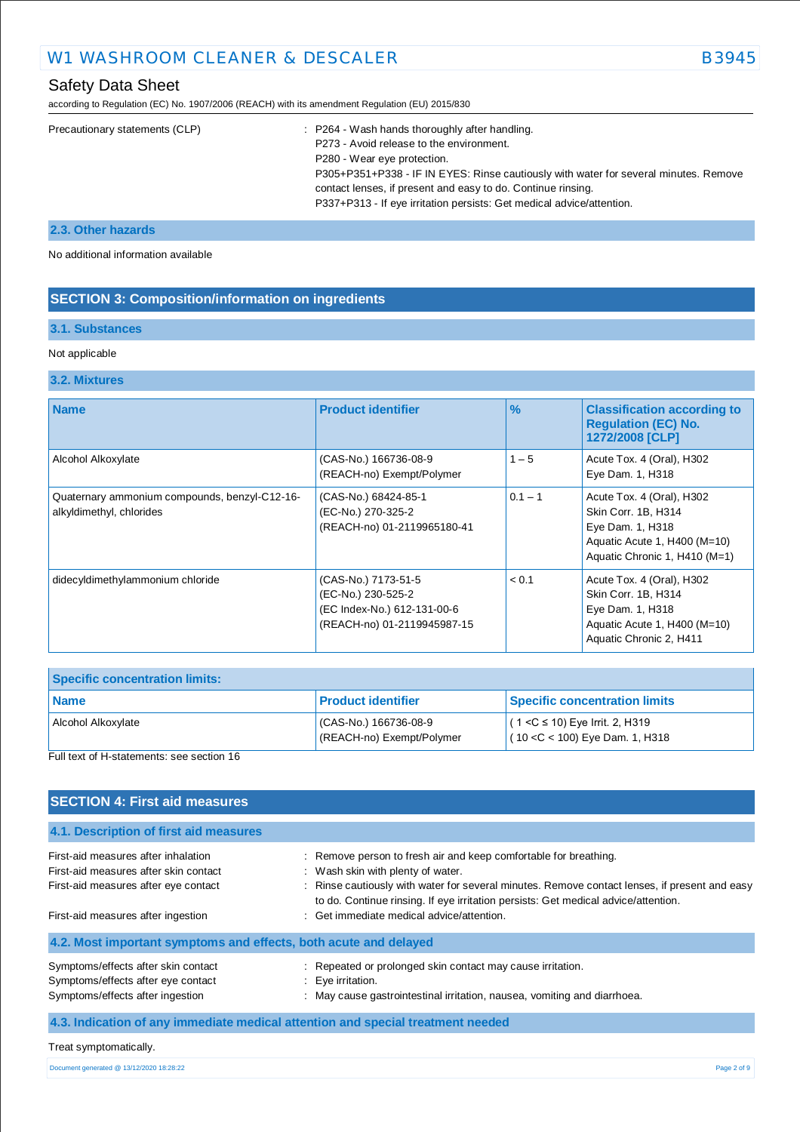according to Regulation (EC) No. 1907/2006 (REACH) with its amendment Regulation (EU) 2015/830

| Precautionary statements (CLP) | : P264 - Wash hands thoroughly after handling.                                       |
|--------------------------------|--------------------------------------------------------------------------------------|
|                                | P273 - Avoid release to the environment.                                             |
|                                | P280 - Wear eye protection.                                                          |
|                                | P305+P351+P338 - IF IN EYES: Rinse cautiously with water for several minutes. Remove |
|                                | contact lenses, if present and easy to do. Continue rinsing.                         |
|                                | P337+P313 - If eye irritation persists: Get medical advice/attention.                |
|                                |                                                                                      |

# **2.3. Other hazards**

No additional information available

# **SECTION 3: Composition/information on ingredients**

# **3.1. Substances**

### Not applicable

# **3.2. Mixtures**

| <b>Name</b>                                                               | <b>Product identifier</b>                                                                               | $\frac{9}{6}$ | <b>Classification according to</b><br><b>Regulation (EC) No.</b><br>1272/2008 [CLP]                                                   |
|---------------------------------------------------------------------------|---------------------------------------------------------------------------------------------------------|---------------|---------------------------------------------------------------------------------------------------------------------------------------|
| Alcohol Alkoxylate                                                        | (CAS-No.) 166736-08-9<br>(REACH-no) Exempt/Polymer                                                      | $1 - 5$       | Acute Tox. 4 (Oral), H302<br>Eye Dam. 1, H318                                                                                         |
| Quaternary ammonium compounds, benzyl-C12-16-<br>alkyldimethyl, chlorides | (CAS-No.) 68424-85-1<br>(EC-No.) 270-325-2<br>(REACH-no) 01-2119965180-41                               | $0.1 - 1$     | Acute Tox. 4 (Oral), H302<br>Skin Corr. 1B, H314<br>Eye Dam. 1, H318<br>Aquatic Acute 1, H400 (M=10)<br>Aquatic Chronic 1, H410 (M=1) |
| didecyldimethylammonium chloride                                          | (CAS-No.) 7173-51-5<br>(EC-No.) 230-525-2<br>(EC Index-No.) 612-131-00-6<br>(REACH-no) 01-2119945987-15 | < 0.1         | Acute Tox. 4 (Oral), H302<br>Skin Corr. 1B, H314<br>Eye Dam. 1, H318<br>Aquatic Acute 1, H400 (M=10)<br>Aquatic Chronic 2, H411       |

| <b>Specific concentration limits:</b> |                                                   |                                                                        |
|---------------------------------------|---------------------------------------------------|------------------------------------------------------------------------|
| Name                                  | <b>Product identifier</b>                         | <b>Specific concentration limits</b>                                   |
| Alcohol Alkoxylate                    | CAS-No.) 166736-08-9<br>(REACH-no) Exempt/Polymer | $(1 < C$ ≤ 10) Eye Irrit. 2, H319<br>$(10 < C < 100)$ Eye Dam. 1, H318 |

### Full text of H-statements: see section 16

| <b>SECTION 4: First aid measures</b>                                                                                 |                                                                                                                                                                                                                                                                                              |             |
|----------------------------------------------------------------------------------------------------------------------|----------------------------------------------------------------------------------------------------------------------------------------------------------------------------------------------------------------------------------------------------------------------------------------------|-------------|
| 4.1. Description of first aid measures                                                                               |                                                                                                                                                                                                                                                                                              |             |
| First-aid measures after inhalation<br>First-aid measures after skin contact<br>First-aid measures after eye contact | : Remove person to fresh air and keep comfortable for breathing.<br>: Wash skin with plenty of water.<br>: Rinse cautiously with water for several minutes. Remove contact lenses, if present and easy<br>to do. Continue rinsing. If eye irritation persists: Get medical advice/attention. |             |
| First-aid measures after ingestion                                                                                   | : Get immediate medical advice/attention.                                                                                                                                                                                                                                                    |             |
| 4.2. Most important symptoms and effects, both acute and delayed                                                     |                                                                                                                                                                                                                                                                                              |             |
| Symptoms/effects after skin contact<br>Symptoms/effects after eye contact<br>Symptoms/effects after ingestion        | : Repeated or prolonged skin contact may cause irritation.<br>$: Eve$ irritation.<br>: May cause gastrointestinal irritation, nausea, vomiting and diarrhoea.                                                                                                                                |             |
| 4.3. Indication of any immediate medical attention and special treatment needed                                      |                                                                                                                                                                                                                                                                                              |             |
| Treat symptomatically.                                                                                               |                                                                                                                                                                                                                                                                                              |             |
| Document generated @ 13/12/2020 18:28:22                                                                             |                                                                                                                                                                                                                                                                                              | Page 2 of 9 |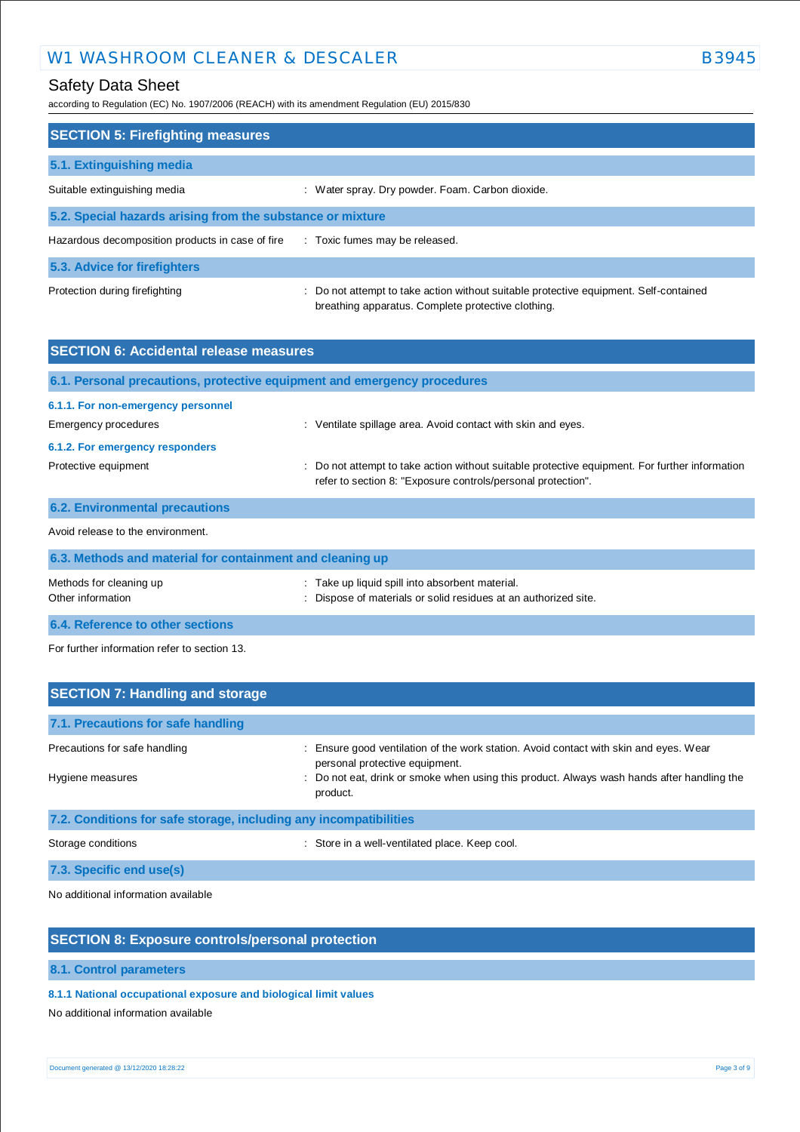# W1 WASHROOM CLEANER & DESCALER B3945

# Safety Data Sheet

according to Regulation (EC) No. 1907/2006 (REACH) with its amendment Regulation (EU) 2015/830

| <b>SECTION 5: Firefighting measures</b>                    |                                                                                                                                             |  |  |
|------------------------------------------------------------|---------------------------------------------------------------------------------------------------------------------------------------------|--|--|
| 5.1. Extinguishing media                                   |                                                                                                                                             |  |  |
| Suitable extinguishing media                               | : Water spray. Dry powder. Foam. Carbon dioxide.                                                                                            |  |  |
| 5.2. Special hazards arising from the substance or mixture |                                                                                                                                             |  |  |
| Hazardous decomposition products in case of fire           | : Toxic fumes may be released.                                                                                                              |  |  |
| 5.3. Advice for firefighters                               |                                                                                                                                             |  |  |
| Protection during firefighting                             | : Do not attempt to take action without suitable protective equipment. Self-contained<br>breathing apparatus. Complete protective clothing. |  |  |

| <b>SECTION 6: Accidental release measures</b>                            |                                                                                                                                                                |  |
|--------------------------------------------------------------------------|----------------------------------------------------------------------------------------------------------------------------------------------------------------|--|
| 6.1. Personal precautions, protective equipment and emergency procedures |                                                                                                                                                                |  |
| 6.1.1. For non-emergency personnel<br>Emergency procedures               | : Ventilate spillage area. Avoid contact with skin and eyes.                                                                                                   |  |
| 6.1.2. For emergency responders<br>Protective equipment                  | : Do not attempt to take action without suitable protective equipment. For further information<br>refer to section 8: "Exposure controls/personal protection". |  |
| <b>6.2. Environmental precautions</b>                                    |                                                                                                                                                                |  |
| Avoid release to the environment.                                        |                                                                                                                                                                |  |
| 6.3. Methods and material for containment and cleaning up                |                                                                                                                                                                |  |
| Methods for cleaning up<br>Other information                             | : Take up liquid spill into absorbent material.<br>Dispose of materials or solid residues at an authorized site.                                               |  |

**6.4. Reference to other sections**

For further information refer to section 13.

| <b>SECTION 7: Handling and storage</b>                            |                                                                                                                       |  |
|-------------------------------------------------------------------|-----------------------------------------------------------------------------------------------------------------------|--|
| 7.1. Precautions for safe handling                                |                                                                                                                       |  |
| Precautions for safe handling                                     | Ensure good ventilation of the work station. Avoid contact with skin and eyes. Wear<br>personal protective equipment. |  |
| Hygiene measures                                                  | Do not eat, drink or smoke when using this product. Always wash hands after handling the<br>product.                  |  |
| 7.2. Conditions for safe storage, including any incompatibilities |                                                                                                                       |  |
| Storage conditions                                                | : Store in a well-ventilated place. Keep cool.                                                                        |  |
| 7.3. Specific end use(s)                                          |                                                                                                                       |  |

No additional information available

# **SECTION 8: Exposure controls/personal protection**

**8.1. Control parameters**

### **8.1.1 National occupational exposure and biological limit values**

No additional information available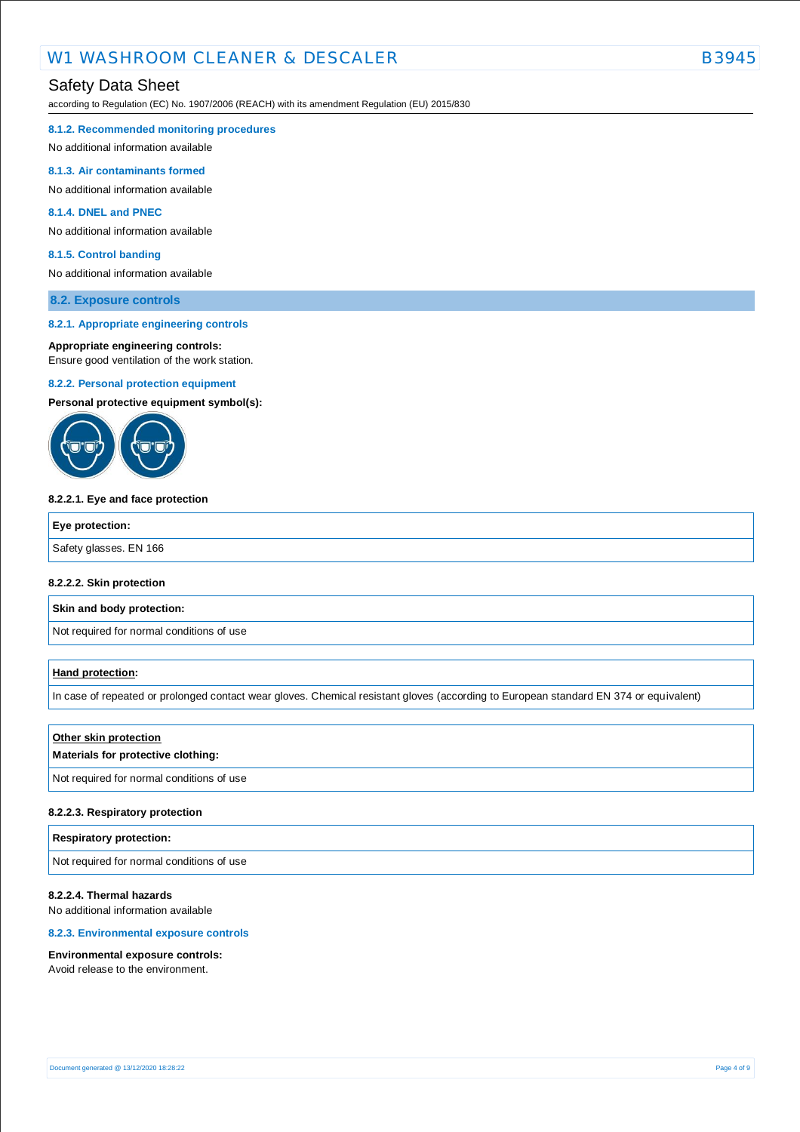# Safety Data Sheet

according to Regulation (EC) No. 1907/2006 (REACH) with its amendment Regulation (EU) 2015/830

#### **8.1.2. Recommended monitoring procedures**

No additional information available

#### **8.1.3. Air contaminants formed**

No additional information available

#### **8.1.4. DNEL and PNEC**

No additional information available

#### **8.1.5. Control banding**

No additional information available

### **8.2. Exposure controls**

#### **8.2.1. Appropriate engineering controls**

#### **Appropriate engineering controls:**

Ensure good ventilation of the work station.

#### **8.2.2. Personal protection equipment**

**Personal protective equipment symbol(s):**



#### **8.2.2.1. Eye and face protection**

| Eye protection:        |  |
|------------------------|--|
| Safety glasses. EN 166 |  |
|                        |  |

#### **8.2.2.2. Skin protection**

**Skin and body protection:**

Not required for normal conditions of use

#### **Hand protection:**

In case of repeated or prolonged contact wear gloves. Chemical resistant gloves (according to European standard EN 374 or equivalent)

#### **Other skin protection**

### **Materials for protective clothing:**

Not required for normal conditions of use

#### **8.2.2.3. Respiratory protection**

#### **Respiratory protection:**

Not required for normal conditions of use

#### **8.2.2.4. Thermal hazards**

No additional information available

### **8.2.3. Environmental exposure controls**

#### **Environmental exposure controls:**

Avoid release to the environment.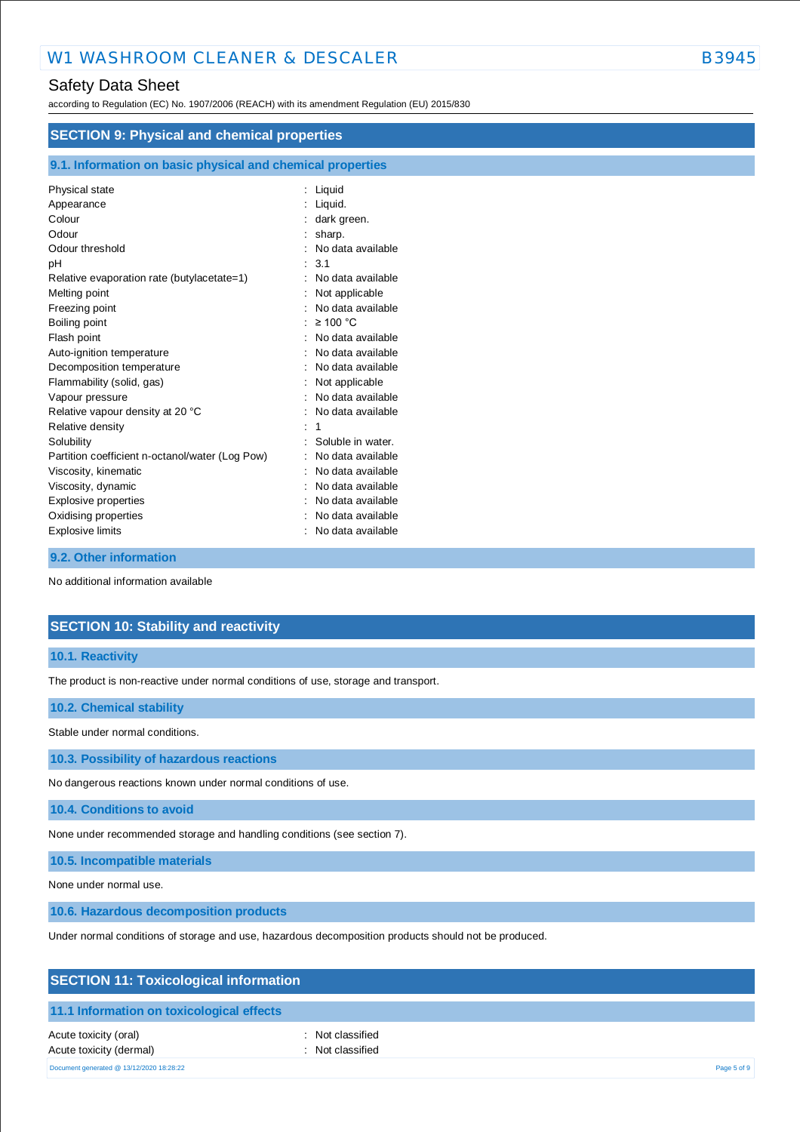# Safety Data Sheet

according to Regulation (EC) No. 1907/2006 (REACH) with its amendment Regulation (EU) 2015/830

| <b>SECTION 9: Physical and chemical properties</b>         |                    |  |
|------------------------------------------------------------|--------------------|--|
| 9.1. Information on basic physical and chemical properties |                    |  |
| Physical state                                             | : Liquid           |  |
| Appearance                                                 | : Liquid.          |  |
| Colour                                                     | dark green.        |  |
| Odour                                                      | sharp.             |  |
| Odour threshold                                            | No data available  |  |
| pH                                                         | 3.1                |  |
| Relative evaporation rate (butylacetate=1)                 | No data available  |  |
| Melting point                                              | Not applicable     |  |
| Freezing point                                             | No data available  |  |
| Boiling point                                              | $\geq 100$ °C<br>٠ |  |
| Flash point                                                | No data available  |  |
| Auto-ignition temperature                                  | No data available  |  |
| Decomposition temperature                                  | No data available  |  |
| Flammability (solid, gas)                                  | Not applicable     |  |
| Vapour pressure                                            | No data available  |  |
| Relative vapour density at 20 °C                           | No data available  |  |
| Relative density                                           |                    |  |
| Solubility                                                 | Soluble in water.  |  |
| Partition coefficient n-octanol/water (Log Pow)            | No data available  |  |
| Viscosity, kinematic                                       | No data available  |  |
| Viscosity, dynamic                                         | No data available  |  |
| Explosive properties                                       | No data available  |  |
| Oxidising properties                                       | No data available  |  |
| Explosive limits                                           | No data available  |  |

### **9.2. Other information**

No additional information available

# **SECTION 10: Stability and reactivity**

#### **10.1. Reactivity**

The product is non-reactive under normal conditions of use, storage and transport.

#### **10.2. Chemical stability**

Stable under normal conditions.

**10.3. Possibility of hazardous reactions**

No dangerous reactions known under normal conditions of use.

**10.4. Conditions to avoid**

None under recommended storage and handling conditions (see section 7).

**10.5. Incompatible materials**

None under normal use.

**10.6. Hazardous decomposition products**

Under normal conditions of storage and use, hazardous decomposition products should not be produced.

# **SECTION 11: Toxicological information**

### **11.1 Information on toxicological effects**

Acute toxicity (oral) **Example 2** Constant Acute toxicity (oral) Acute toxicity (dermal) **Example 2** Contract 2 Contract 2 Contract 2 Contract 2 Contract 2 Contract 2 Contract 2 Contract 2 Contract 2 Contract 2 Contract 2 Contract 2 Contract 2 Contract 2 Contract 2 Contract 2 Contract 2

Document generated @ 13/12/2020 18:28:22 Page 5 of 9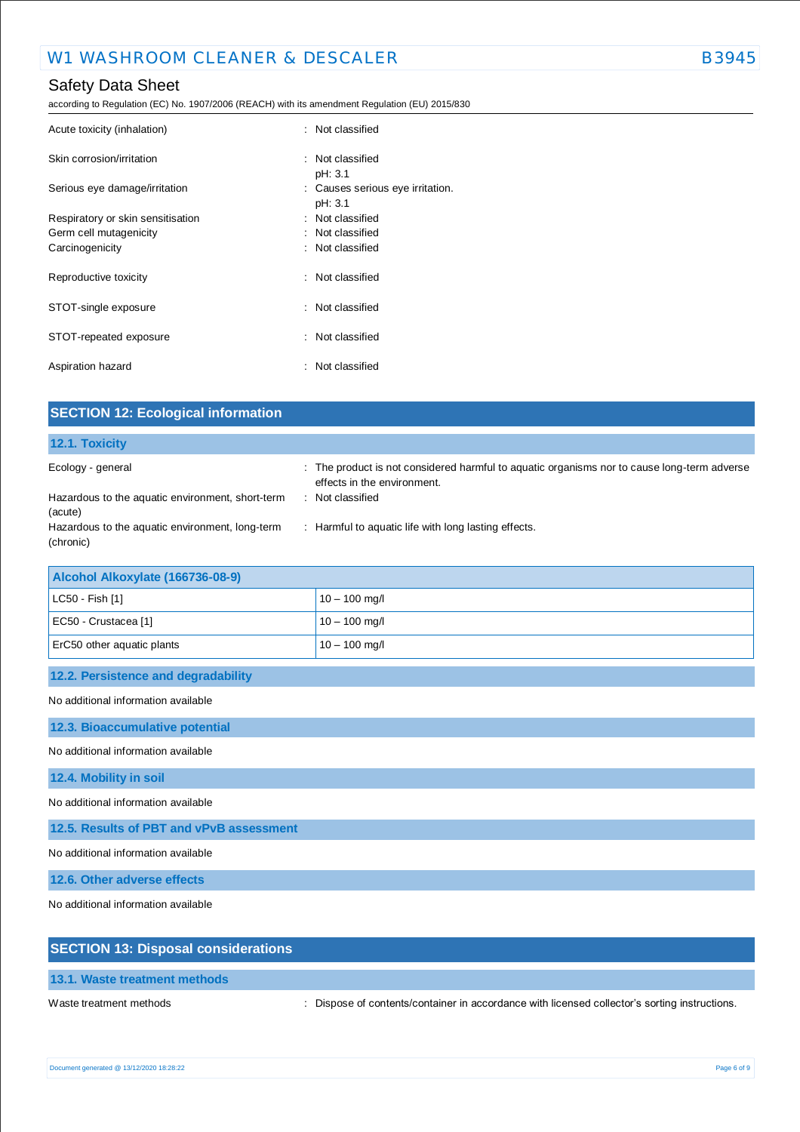# Safety Data Sheet

according to Regulation (EC) No. 1907/2006 (REACH) with its amendment Regulation (EU) 2015/830

| Acute toxicity (inhalation)       | : Not classified                 |
|-----------------------------------|----------------------------------|
| Skin corrosion/irritation         | : Not classified                 |
|                                   | pH: 3.1                          |
| Serious eye damage/irritation     | : Causes serious eye irritation. |
|                                   | pH: 3.1                          |
| Respiratory or skin sensitisation | : Not classified                 |
| Germ cell mutagenicity            | : Not classified                 |
| Carcinogenicity                   | : Not classified                 |
| Reproductive toxicity             | : Not classified                 |
| STOT-single exposure              | : Not classified                 |
| STOT-repeated exposure            | : Not classified                 |
| Aspiration hazard                 | : Not classified                 |

| <b>SECTION 12: Ecological information</b>                    |                                                                                                                            |  |
|--------------------------------------------------------------|----------------------------------------------------------------------------------------------------------------------------|--|
| 12.1. Toxicity                                               |                                                                                                                            |  |
| Ecology - general                                            | : The product is not considered harmful to aquatic organisms nor to cause long-term adverse<br>effects in the environment. |  |
| Hazardous to the aquatic environment, short-term<br>(acute)  | : Not classified                                                                                                           |  |
| Hazardous to the aquatic environment, long-term<br>(chronic) | : Harmful to aquatic life with long lasting effects.                                                                       |  |
| Alcohol Alkoxylate (166736-08-9)                             |                                                                                                                            |  |
| LC50 - Fish [1]                                              | $10 - 100$ mg/l                                                                                                            |  |
| EC50 - Crustacea [1]                                         | $10 - 100$ mg/l                                                                                                            |  |
| ErC50 other aquatic plants                                   | $10 - 100$ mg/l                                                                                                            |  |
| 12.2. Persistence and degradability                          |                                                                                                                            |  |
| No additional information available                          |                                                                                                                            |  |
| 12.3. Bioaccumulative potential                              |                                                                                                                            |  |
| No additional information available                          |                                                                                                                            |  |

**12.4. Mobility in soil**

No additional information available

**12.5. Results of PBT and vPvB assessment**

No additional information available

**12.6. Other adverse effects**

No additional information available

| <b>SECTION 13: Disposal considerations</b> |                                                                                               |
|--------------------------------------------|-----------------------------------------------------------------------------------------------|
| 13.1. Waste treatment methods              |                                                                                               |
| Waste treatment methods                    | : Dispose of contents/container in accordance with licensed collector's sorting instructions. |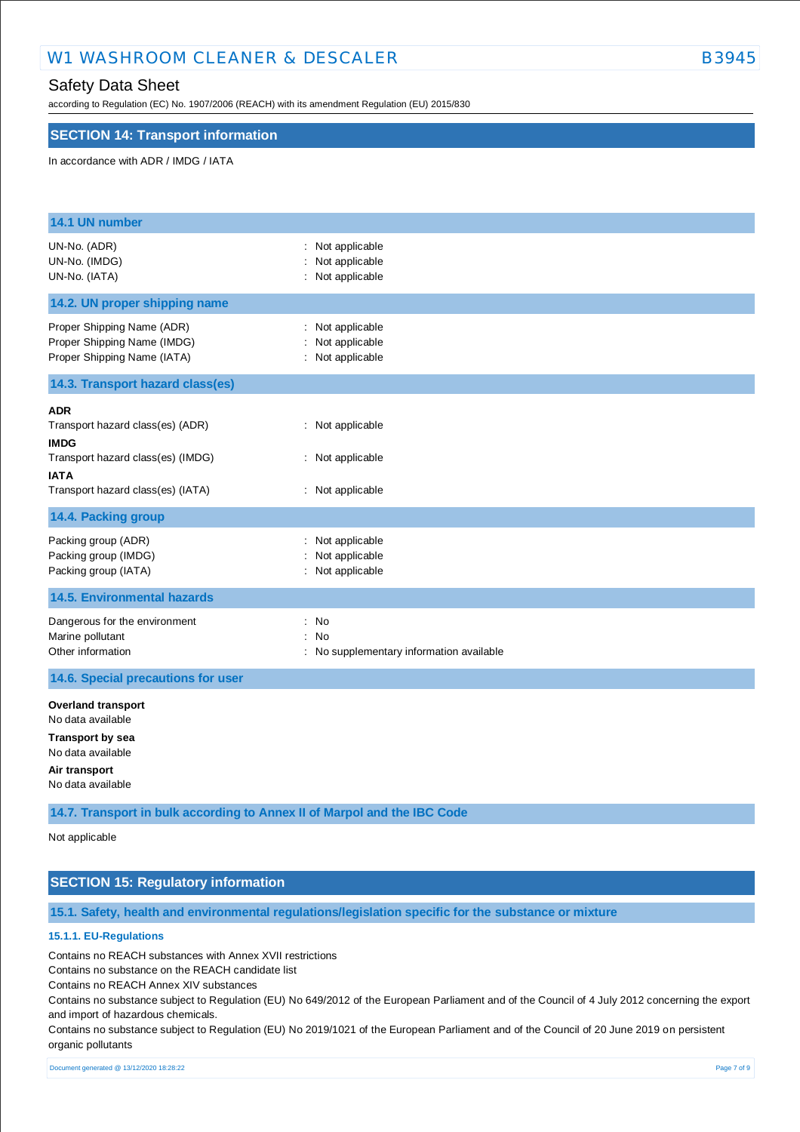# W1 WASHROOM CLEANER & DESCALER B3945

# Safety Data Sheet

according to Regulation (EC) No. 1907/2006 (REACH) with its amendment Regulation (EU) 2015/830

### **SECTION 14: Transport information**

#### In accordance with ADR / IMDG / IATA

| 14.1 UN number                                                                                                                                         |                                                          |
|--------------------------------------------------------------------------------------------------------------------------------------------------------|----------------------------------------------------------|
| UN-No. (ADR)<br>UN-No. (IMDG)<br>UN-No. (IATA)                                                                                                         | : Not applicable<br>Not applicable<br>: Not applicable   |
| 14.2. UN proper shipping name                                                                                                                          |                                                          |
| Proper Shipping Name (ADR)<br>Proper Shipping Name (IMDG)<br>Proper Shipping Name (IATA)                                                               | : Not applicable<br>Not applicable<br>: Not applicable   |
| 14.3. Transport hazard class(es)                                                                                                                       |                                                          |
| <b>ADR</b><br>Transport hazard class(es) (ADR)<br><b>IMDG</b><br>Transport hazard class(es) (IMDG)<br><b>IATA</b><br>Transport hazard class(es) (IATA) | : Not applicable<br>: Not applicable<br>: Not applicable |
| 14.4. Packing group                                                                                                                                    |                                                          |
| Packing group (ADR)<br>Packing group (IMDG)<br>Packing group (IATA)                                                                                    | Not applicable<br>Not applicable<br>: Not applicable     |
| <b>14.5. Environmental hazards</b>                                                                                                                     |                                                          |
| Dangerous for the environment<br>Marine pollutant<br>Other information                                                                                 | : No<br>: No<br>: No supplementary information available |
| 14.6. Special precautions for user                                                                                                                     |                                                          |
| <b>Overland transport</b><br>No data available<br><b>Transport by sea</b><br>No data available<br>Air transport<br>No data available                   |                                                          |

**14.7. Transport in bulk according to Annex II of Marpol and the IBC Code**

Not applicable

# **SECTION 15: Regulatory information**

**15.1. Safety, health and environmental regulations/legislation specific for the substance or mixture**

# **15.1.1. EU-Regulations**

Contains no REACH substances with Annex XVII restrictions

Contains no substance on the REACH candidate list

Contains no REACH Annex XIV substances

Contains no substance subject to Regulation (EU) No 649/2012 of the European Parliament and of the Council of 4 July 2012 concerning the export and import of hazardous chemicals.

Contains no substance subject to Regulation (EU) No 2019/1021 of the European Parliament and of the Council of 20 June 2019 on persistent organic pollutants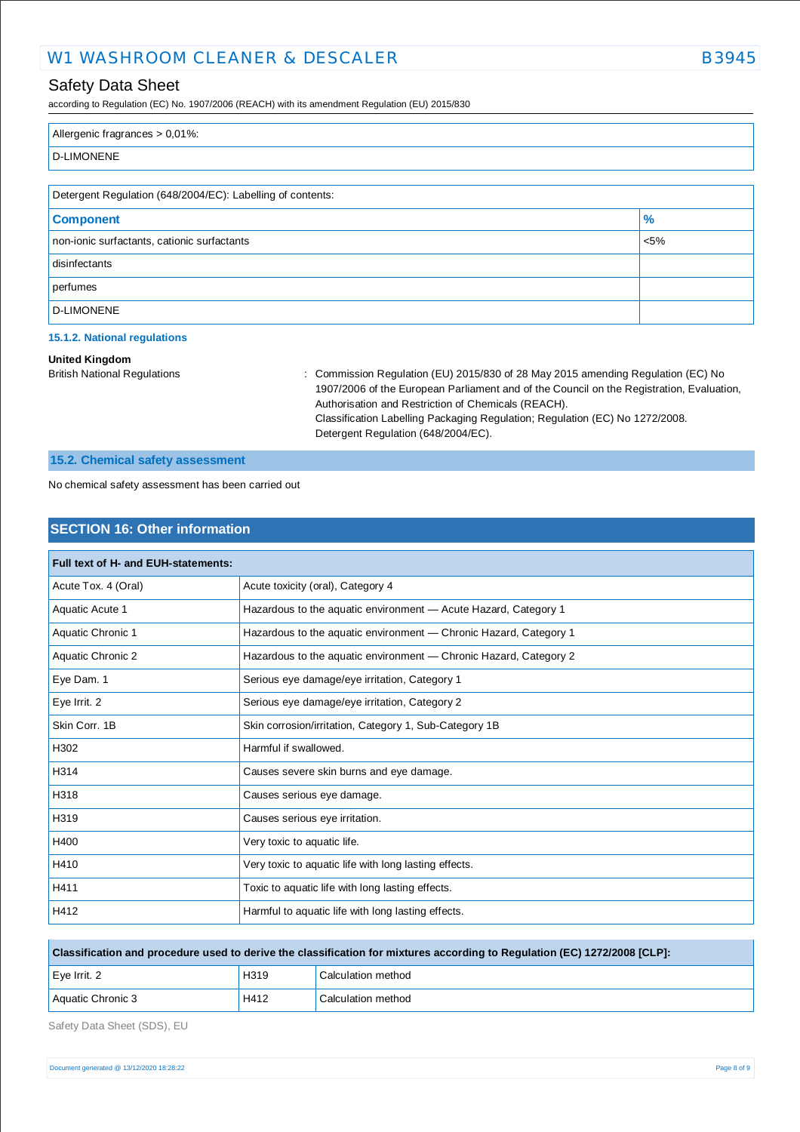# W1 WASHROOM CLEANER & DESCALER B3945

# Safety Data Sheet

according to Regulation (EC) No. 1907/2006 (REACH) with its amendment Regulation (EU) 2015/830

| Allergenic fragrances > 0,01%:                             |               |  |
|------------------------------------------------------------|---------------|--|
| <b>D-LIMONENE</b>                                          |               |  |
|                                                            |               |  |
| Detergent Regulation (648/2004/EC): Labelling of contents: |               |  |
| <b>Component</b>                                           | $\frac{9}{6}$ |  |
| non-ionic surfactants, cationic surfactants                | $< 5\%$       |  |
| disinfectants                                              |               |  |

perfumes

D-LIMONENE

#### **15.1.2. National regulations**

### **United Kingdom**

British National Regulations : Commission Regulation (EU) 2015/830 of 28 May 2015 amending Regulation (EC) No 1907/2006 of the European Parliament and of the Council on the Registration, Evaluation, Authorisation and Restriction of Chemicals (REACH). Classification Labelling Packaging Regulation; Regulation (EC) No 1272/2008. Detergent Regulation (648/2004/EC).

### **15.2. Chemical safety assessment**

No chemical safety assessment has been carried out

# **SECTION 16: Other information**

| Full text of H- and EUH-statements: |                                                                   |  |
|-------------------------------------|-------------------------------------------------------------------|--|
| Acute Tox. 4 (Oral)                 | Acute toxicity (oral), Category 4                                 |  |
| Aquatic Acute 1                     | Hazardous to the aquatic environment - Acute Hazard, Category 1   |  |
| Aquatic Chronic 1                   | Hazardous to the aquatic environment - Chronic Hazard, Category 1 |  |
| Aquatic Chronic 2                   | Hazardous to the aquatic environment - Chronic Hazard, Category 2 |  |
| Eye Dam. 1                          | Serious eye damage/eye irritation, Category 1                     |  |
| Eye Irrit. 2                        | Serious eye damage/eye irritation, Category 2                     |  |
| Skin Corr. 1B                       | Skin corrosion/irritation, Category 1, Sub-Category 1B            |  |
| H302                                | Harmful if swallowed.                                             |  |
| H314                                | Causes severe skin burns and eye damage.                          |  |
| H318                                | Causes serious eye damage.                                        |  |
| H319                                | Causes serious eye irritation.                                    |  |
| H400                                | Very toxic to aquatic life.                                       |  |
| H410                                | Very toxic to aquatic life with long lasting effects.             |  |
| H411                                | Toxic to aquatic life with long lasting effects.                  |  |
| H412                                | Harmful to aquatic life with long lasting effects.                |  |

| Classification and procedure used to derive the classification for mixtures according to Regulation (EC) 1272/2008 [CLP]: |      |                    |  |
|---------------------------------------------------------------------------------------------------------------------------|------|--------------------|--|
| $Eve$ Irrit. 2                                                                                                            | H319 | Calculation method |  |
| Aquatic Chronic 3                                                                                                         | H412 | Calculation method |  |

Safety Data Sheet (SDS), EU